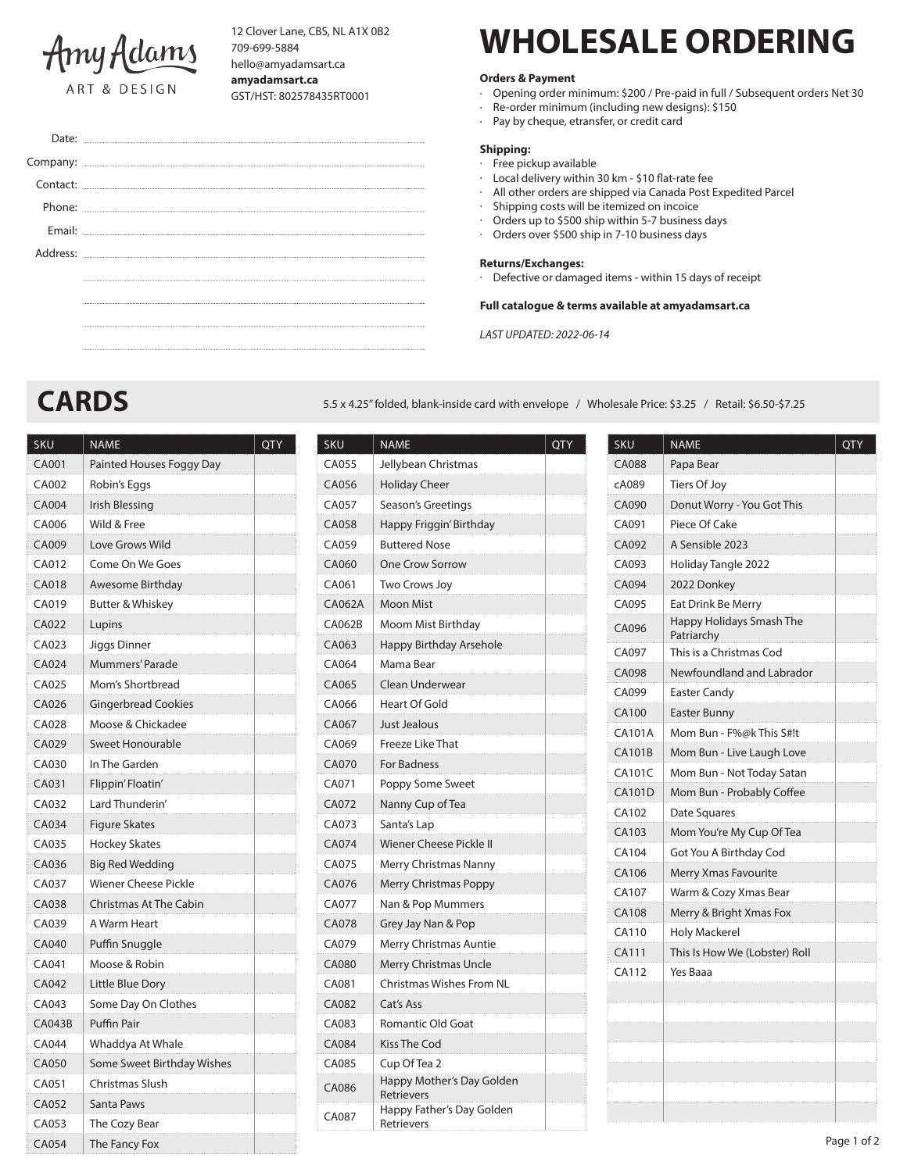

Company: Contact:

Email:

Phone:

Address:

12 Clover Lane, CBS, NL A1X 0B2 709-699-5884 hello@amyadamsart.ca **amyadamsart.ca** GST/HST: 802578435RT0001

# **WHOLESALE ORDERING**

## **Orders & Payment**

- Opening order minimum: \$200 / Pre-paid in full / Subsequent orders Net 30
- · Re-order minimum (including new designs): \$150
- · Pay by cheque, etransfer, or credit card

#### **Shipping:**

#### · Free pickup available

- Local delivery within 30 km \$10 flat-rate fee
- · All other orders are shipped via Canada Post Expedited Parcel
- · Shipping costs will be itemized on incoice
- · Orders up to \$500 ship within 5-7 business days
- · Orders over \$500 ship in 7-10 business days

#### **Returns/Exchanges:**

· Defective or damaged items - within 15 days of receipt

### **Full catalogue & terms available at amyadamsart.ca**

*LAST UPDATED: 2022-06-14*

Date: ........

CARDS **CARDS 5.5 x 4.25**" folded, blank-inside card with envelope / Wholesale Price: \$3.25 / Retail: \$6.50-\$7.25

| <b>SKU</b>    | <b>NAME</b>                   | <b>QTY</b> |  |
|---------------|-------------------------------|------------|--|
| CA001         | Painted Houses Foggy Day      |            |  |
| CA002         | Robin's Eggs                  |            |  |
| <b>CA004</b>  | Irish Blessing                |            |  |
| CA006         | Wild & Free                   |            |  |
| CA009         | Love Grows Wild               |            |  |
| CA012         | Come On We Goes               |            |  |
| CA018         | Awesome Birthday              |            |  |
| CA019         | Butter & Whiskey              |            |  |
| <b>CA022</b>  | Lupins                        |            |  |
| CA023         | Jiggs Dinner                  |            |  |
| CA024         | <b>Mummers' Parade</b>        |            |  |
| CA025         | Mom's Shortbread              |            |  |
| CA026         | <b>Gingerbread Cookies</b>    |            |  |
| CA028         | Moose & Chickadee             |            |  |
| CA029         | Sweet Honourable              |            |  |
| CA030         | In The Garden                 |            |  |
| CA031         | Flippin' Floatin'             |            |  |
| CA032         | Lard Thunderin'               |            |  |
| CA034         | <b>Figure Skates</b>          |            |  |
| CA035         | <b>Hockey Skates</b>          |            |  |
| CA036         | <b>Big Red Wedding</b>        |            |  |
| CA037         | Wiener Cheese Pickle          |            |  |
| CA038         | <b>Christmas At The Cabin</b> |            |  |
| CA039         | A Warm Heart                  |            |  |
| CA040         | Puffin Snuggle                |            |  |
| CA041         | Moose & Robin                 |            |  |
| CA042         | Little Blue Dory              |            |  |
| CA043         | Some Day On Clothes           |            |  |
| <b>CA043B</b> | <b>Puffin Pair</b>            |            |  |
| CA044         | Whaddya At Whale              |            |  |
| CA050         | Some Sweet Birthday Wishes    |            |  |
| CA051         | Christmas Slush               |            |  |
| CA052         | Santa Paws                    |            |  |
| CA053         | The Cozy Bear                 |            |  |
| CA054         | The Fancy Fox                 |            |  |

| <b>SKU</b>   | <b>NAME</b>                             | <b>QTY</b> |  |  |
|--------------|-----------------------------------------|------------|--|--|
| CA055        | Jellybean Christmas                     |            |  |  |
| CA056        | <b>Holiday Cheer</b>                    |            |  |  |
| CA057        | Season's Greetings                      |            |  |  |
| CA058        | Happy Friggin' Birthday                 |            |  |  |
| CA059        | <b>Buttered Nose</b>                    |            |  |  |
| CA060        | One Crow Sorrow                         |            |  |  |
| CA061        | <b>Two Crows Joy</b>                    |            |  |  |
| CA062A       | <b>Moon Mist</b>                        |            |  |  |
| CA062B       | Moom Mist Birthday                      |            |  |  |
| CA063        | Happy Birthday Arsehole                 |            |  |  |
| CA064        | Mama Bear                               |            |  |  |
| CA065        | Clean Underwear                         |            |  |  |
| CA066        | <b>Heart Of Gold</b>                    |            |  |  |
| CA067        | Just Jealous                            |            |  |  |
| CA069        | Freeze Like That                        |            |  |  |
| CA070        | <b>For Badness</b>                      |            |  |  |
| CA071        | Poppy Some Sweet                        |            |  |  |
| CA072        | Nanny Cup of Tea                        |            |  |  |
| CA073        | Santa's Lap                             |            |  |  |
| CA074        | Wiener Cheese Pickle II                 |            |  |  |
| CA075        | Merry Christmas Nanny                   |            |  |  |
| CA076        | Merry Christmas Poppy                   |            |  |  |
| CA077        | Nan & Pop Mummers                       |            |  |  |
| <b>CA078</b> | Grey Jay Nan & Pop                      |            |  |  |
| CA079        | Merry Christmas Auntie                  |            |  |  |
| <b>CA080</b> | <b>Merry Christmas Uncle</b>            |            |  |  |
| CA081        | <b>Christmas Wishes From NL</b>         |            |  |  |
| CA082        | Cat's Ass                               |            |  |  |
| CA083        | Romantic Old Goat                       |            |  |  |
| <b>CA084</b> | <b>Kiss The Cod</b>                     |            |  |  |
| CA085        | Cup Of Tea 2                            |            |  |  |
| CA086        | Happy Mother's Day Golden<br>Retrievers |            |  |  |
| CA087        | Happy Father's Day Golden<br>Retrievers |            |  |  |

| <b>SKU</b>    | QTY<br><b>NAME</b>                            |  |
|---------------|-----------------------------------------------|--|
| <b>CA088</b>  | Papa Bear                                     |  |
| cA089         | <b>Tiers Of Joy</b>                           |  |
| CA090         | Donut Worry - You Got This                    |  |
| CA091         | Piece Of Cake                                 |  |
| CA092         | A Sensible 2023                               |  |
| CA093         | Holiday Tangle 2022                           |  |
| CA094         | 2022 Donkey                                   |  |
| CA095         | Eat Drink Be Merry                            |  |
| CA096         | <b>Happy Holidays Smash The</b><br>Patriarchy |  |
| CA097         | This is a Christmas Cod                       |  |
| CA098         | Newfoundland and Labrador                     |  |
| CA099         | <b>Easter Candy</b>                           |  |
| <b>CA100</b>  | <b>Easter Bunny</b>                           |  |
| <b>CA101A</b> | Mom Bun - F%@k This S#!t                      |  |
| <b>CA101B</b> | Mom Bun - Live Laugh Love                     |  |
| <b>CA101C</b> | Mom Bun - Not Today Satan                     |  |
| <b>CA101D</b> | Mom Bun - Probably Coffee                     |  |
| CA102         | Date Squares                                  |  |
| CA103         | Mom You're My Cup Of Tea                      |  |
| CA104         | Got You A Birthday Cod                        |  |
| CA106         | Merry Xmas Favourite                          |  |
| CA107         | Warm & Cozy Xmas Bear                         |  |
| <b>CA108</b>  | Merry & Bright Xmas Fox                       |  |
| CA110         | <b>Holy Mackerel</b>                          |  |
| CA111         | This Is How We (Lobster) Roll                 |  |
| CA112         | Yes Baaa                                      |  |
|               |                                               |  |
|               |                                               |  |
|               |                                               |  |
|               |                                               |  |
|               |                                               |  |
|               |                                               |  |
|               |                                               |  |
|               | Page 1 of 2                                   |  |